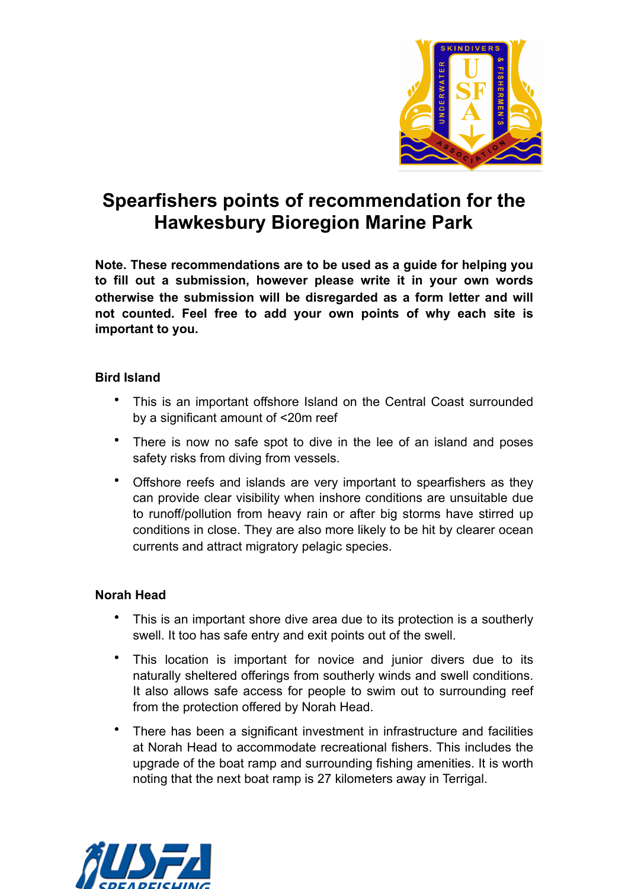

# **Spearfishers points of recommendation for the Hawkesbury Bioregion Marine Park**

**Note. These recommendations are to be used as a guide for helping you to fill out a submission, however please write it in your own words otherwise the submission will be disregarded as a form letter and will not counted. Feel free to add your own points of why each site is important to you.**

## **Bird Island**

- This is an important offshore Island on the Central Coast surrounded by a significant amount of <20m reef
- There is now no safe spot to dive in the lee of an island and poses safety risks from diving from vessels.
- Offshore reefs and islands are very important to spearfishers as they can provide clear visibility when inshore conditions are unsuitable due to runoff/pollution from heavy rain or after big storms have stirred up conditions in close. They are also more likely to be hit by clearer ocean currents and attract migratory pelagic species.

## **Norah Head**

- This is an important shore dive area due to its protection is a southerly swell. It too has safe entry and exit points out of the swell.
- This location is important for novice and junior divers due to its naturally sheltered offerings from southerly winds and swell conditions. It also allows safe access for people to swim out to surrounding reef from the protection offered by Norah Head.
- There has been a significant investment in infrastructure and facilities at Norah Head to accommodate recreational fishers. This includes the upgrade of the boat ramp and surrounding fishing amenities. It is worth noting that the next boat ramp is 27 kilometers away in Terrigal.

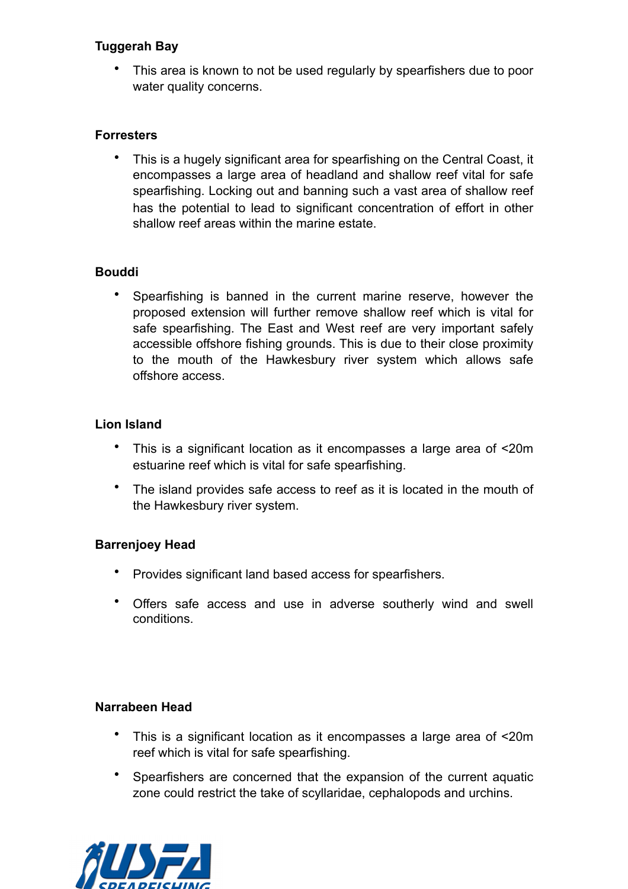# **Tuggerah Bay**

• This area is known to not be used regularly by spearfishers due to poor water quality concerns.

## **Forresters**

• This is a hugely significant area for spearfishing on the Central Coast, it encompasses a large area of headland and shallow reef vital for safe spearfishing. Locking out and banning such a vast area of shallow reef has the potential to lead to significant concentration of effort in other shallow reef areas within the marine estate.

# **Bouddi**

• Spearfishing is banned in the current marine reserve, however the proposed extension will further remove shallow reef which is vital for safe spearfishing. The East and West reef are very important safely accessible offshore fishing grounds. This is due to their close proximity to the mouth of the Hawkesbury river system which allows safe offshore access.

# **Lion Island**

- This is a significant location as it encompasses a large area of <20m estuarine reef which is vital for safe spearfishing.
- The island provides safe access to reef as it is located in the mouth of the Hawkesbury river system.

## **Barrenjoey Head**

- Provides significant land based access for spearfishers.
- Offers safe access and use in adverse southerly wind and swell conditions.

## **Narrabeen Head**

- This is a significant location as it encompasses a large area of <20m reef which is vital for safe spearfishing.
- Spearfishers are concerned that the expansion of the current aquatic zone could restrict the take of scyllaridae, cephalopods and urchins.

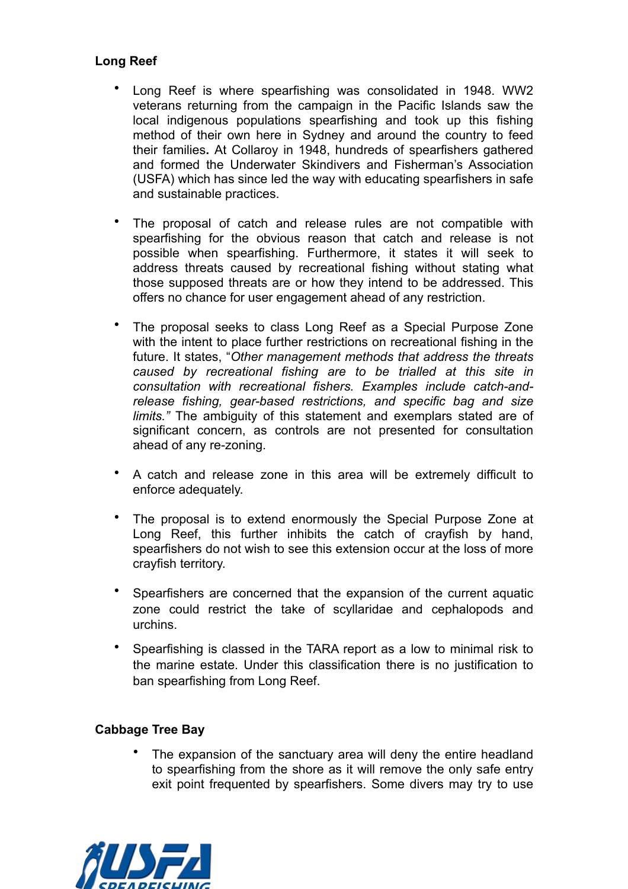# **Long Reef**

- Long Reef is where spearfishing was consolidated in 1948. WW2 veterans returning from the campaign in the Pacific Islands saw the local indigenous populations spearfishing and took up this fishing method of their own here in Sydney and around the country to feed their families**.** At Collaroy in 1948, hundreds of spearfishers gathered and formed the Underwater Skindivers and Fisherman's Association (USFA) which has since led the way with educating spearfishers in safe and sustainable practices.
- The proposal of catch and release rules are not compatible with spearfishing for the obvious reason that catch and release is not possible when spearfishing. Furthermore, it states it will seek to address threats caused by recreational fishing without stating what those supposed threats are or how they intend to be addressed. This offers no chance for user engagement ahead of any restriction.
- The proposal seeks to class Long Reef as a Special Purpose Zone with the intent to place further restrictions on recreational fishing in the future. It states, "*Other management methods that address the threats caused by recreational fishing are to be trialled at this site in consultation with recreational fishers. Examples include catch-andrelease fishing, gear-based restrictions, and specific bag and size limits."* The ambiguity of this statement and exemplars stated are of significant concern, as controls are not presented for consultation ahead of any re-zoning.
- A catch and release zone in this area will be extremely difficult to enforce adequately.
- The proposal is to extend enormously the Special Purpose Zone at Long Reef, this further inhibits the catch of crayfish by hand, spearfishers do not wish to see this extension occur at the loss of more crayfish territory.
- Spearfishers are concerned that the expansion of the current aquatic zone could restrict the take of scyllaridae and cephalopods and urchins.
- Spearfishing is classed in the TARA report as a low to minimal risk to the marine estate. Under this classification there is no justification to ban spearfishing from Long Reef.

## **Cabbage Tree Bay**

The expansion of the sanctuary area will deny the entire headland to spearfishing from the shore as it will remove the only safe entry exit point frequented by spearfishers. Some divers may try to use

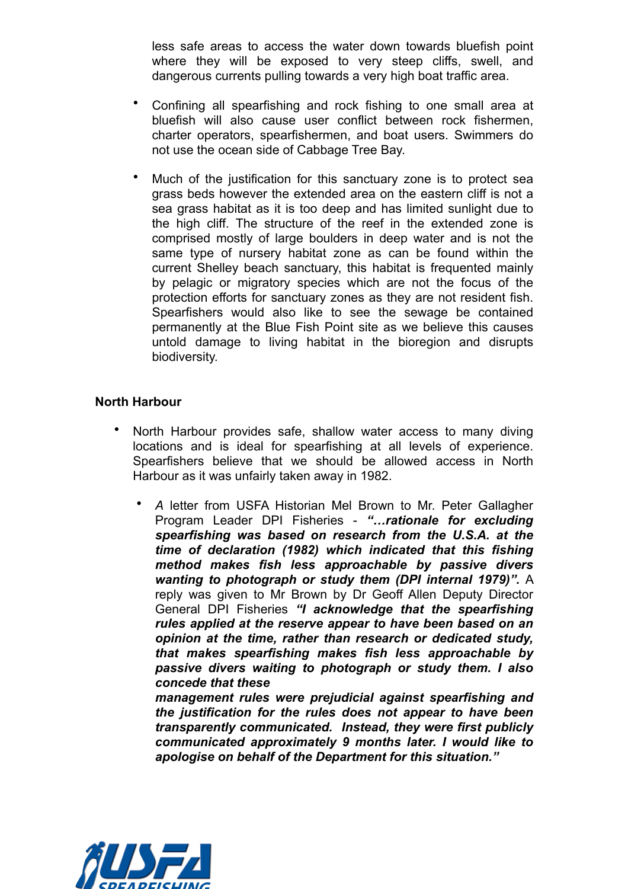less safe areas to access the water down towards bluefish point where they will be exposed to very steep cliffs, swell, and dangerous currents pulling towards a very high boat traffic area.

- Confining all spearfishing and rock fishing to one small area at bluefish will also cause user conflict between rock fishermen, charter operators, spearfishermen, and boat users. Swimmers do not use the ocean side of Cabbage Tree Bay.
- Much of the justification for this sanctuary zone is to protect sea grass beds however the extended area on the eastern cliff is not a sea grass habitat as it is too deep and has limited sunlight due to the high cliff. The structure of the reef in the extended zone is comprised mostly of large boulders in deep water and is not the same type of nursery habitat zone as can be found within the current Shelley beach sanctuary, this habitat is frequented mainly by pelagic or migratory species which are not the focus of the protection efforts for sanctuary zones as they are not resident fish. Spearfishers would also like to see the sewage be contained permanently at the Blue Fish Point site as we believe this causes untold damage to living habitat in the bioregion and disrupts biodiversity.

## **North Harbour**

- North Harbour provides safe, shallow water access to many diving locations and is ideal for spearfishing at all levels of experience. Spearfishers believe that we should be allowed access in North Harbour as it was unfairly taken away in 1982.
	- *A* letter from USFA Historian Mel Brown to Mr. Peter Gallagher Program Leader DPI Fisheries - *"…rationale for excluding spearfishing was based on research from the U.S.A. at the time of declaration (1982) which indicated that this fishing method makes fish less approachable by passive divers wanting to photograph or study them (DPI internal 1979)".* A reply was given to Mr Brown by Dr Geoff Allen Deputy Director General DPI Fisheries *"I acknowledge that the spearfishing rules applied at the reserve appear to have been based on an opinion at the time, rather than research or dedicated study, that makes spearfishing makes fish less approachable by passive divers waiting to photograph or study them. I also concede that these*

*management rules were prejudicial against spearfishing and the justification for the rules does not appear to have been transparently communicated. Instead, they were first publicly communicated approximately 9 months later. I would like to apologise on behalf of the Department for this situation."*

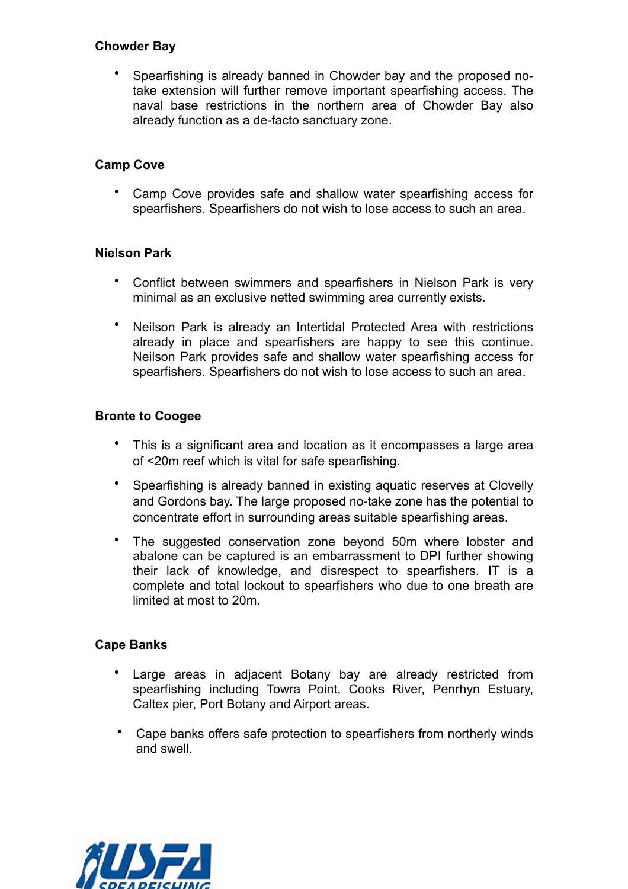#### **Chowder Bay**

• Spearfishing is already banned in Chowder bay and the proposed notake extension will further remove important spearfishing access. The naval base restrictions in the northern area of Chowder Bay also already function as a de-facto sanctuary zone.

## **Camp Cove**

• Camp Cove provides safe and shallow water spearfishing access for spearfishers. Spearfishers do not wish to lose access to such an area.

## **Nielson Park**

- Conflict between swimmers and spearfishers in Nielson Park is very minimal as an exclusive netted swimming area currently exists.
- Neilson Park is already an Intertidal Protected Area with restrictions already in place and spearfishers are happy to see this continue. Neilson Park provides safe and shallow water spearfishing access for spearfishers. Spearfishers do not wish to lose access to such an area.

## **Bronte to Coogee**

- This is a significant area and location as it encompasses a large area of <20m reef which is vital for safe spearfishing.
- Spearfishing is already banned in existing aquatic reserves at Clovelly and Gordons bay. The large proposed no-take zone has the potential to concentrate effort in surrounding areas suitable spearfishing areas.
- The suggested conservation zone beyond 50m where lobster and abalone can be captured is an embarrassment to DPI further showing their lack of knowledge, and disrespect to spearfishers. IT is a complete and total lockout to spearfishers who due to one breath are limited at most to 20m.

## **Cape Banks**

- Large areas in adjacent Botany bay are already restricted from spearfishing including Towra Point, Cooks River, Penrhyn Estuary, Caltex pier, Port Botany and Airport areas.
- Cape banks offers safe protection to spearfishers from northerly winds and swell.

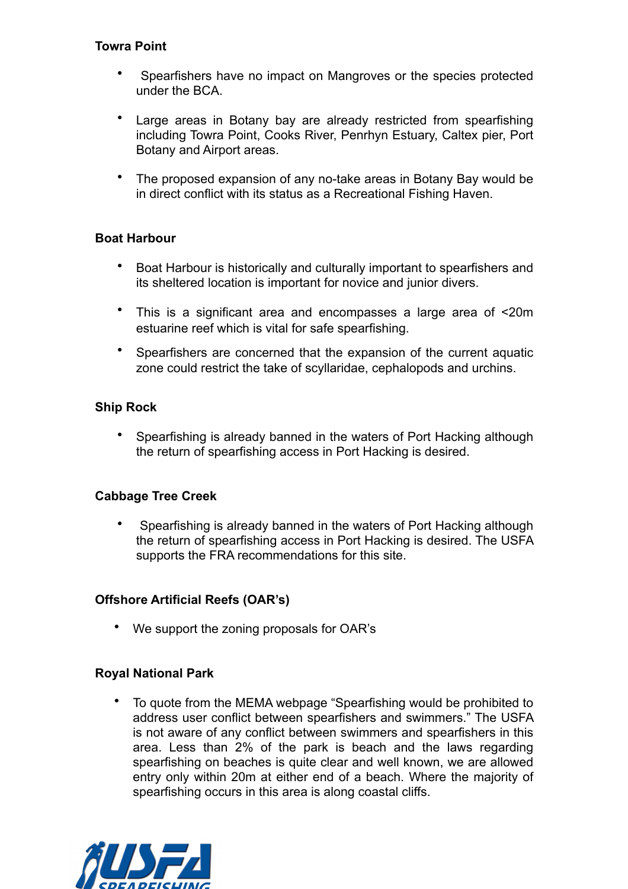## **Towra Point**

- Spearfishers have no impact on Mangroves or the species protected under the BCA.
- Large areas in Botany bay are already restricted from spearfishing including Towra Point, Cooks River, Penrhyn Estuary, Caltex pier, Port Botany and Airport areas.
- The proposed expansion of any no-take areas in Botany Bay would be in direct conflict with its status as a Recreational Fishing Haven.

## **Boat Harbour**

- Boat Harbour is historically and culturally important to spearfishers and its sheltered location is important for novice and junior divers.
- This is a significant area and encompasses a large area of <20m estuarine reef which is vital for safe spearfishing.
- Spearfishers are concerned that the expansion of the current aquatic zone could restrict the take of scyllaridae, cephalopods and urchins.

# **Ship Rock**

• Spearfishing is already banned in the waters of Port Hacking although the return of spearfishing access in Port Hacking is desired.

## **Cabbage Tree Creek**

• Spearfishing is already banned in the waters of Port Hacking although the return of spearfishing access in Port Hacking is desired. The USFA supports the FRA recommendations for this site.

## **Offshore Artificial Reefs (OAR's)**

• We support the zoning proposals for OAR's

## **Royal National Park**

• To quote from the MEMA webpage "Spearfishing would be prohibited to address user conflict between spearfishers and swimmers." The USFA is not aware of any conflict between swimmers and spearfishers in this area. Less than 2% of the park is beach and the laws regarding spearfishing on beaches is quite clear and well known, we are allowed entry only within 20m at either end of a beach. Where the majority of spearfishing occurs in this area is along coastal cliffs.

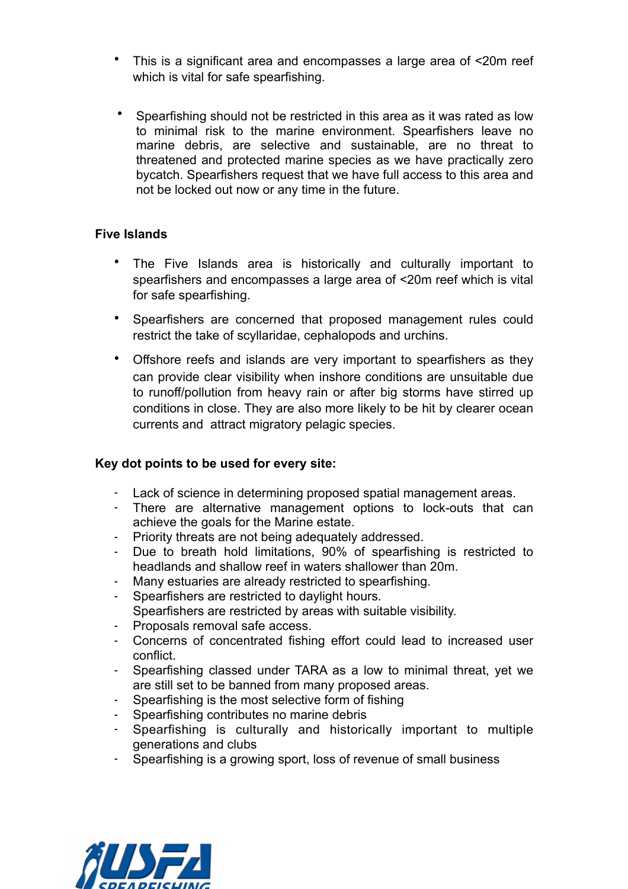- This is a significant area and encompasses a large area of <20m reef which is vital for safe spearfishing.
- Spearfishing should not be restricted in this area as it was rated as low to minimal risk to the marine environment. Spearfishers leave no marine debris, are selective and sustainable, are no threat to threatened and protected marine species as we have practically zero bycatch. Spearfishers request that we have full access to this area and not be locked out now or any time in the future.

## **Five Islands**

- The Five Islands area is historically and culturally important to spearfishers and encompasses a large area of <20m reef which is vital for safe spearfishing.
- Spearfishers are concerned that proposed management rules could restrict the take of scyllaridae, cephalopods and urchins.
- Offshore reefs and islands are very important to spearfishers as they can provide clear visibility when inshore conditions are unsuitable due to runoff/pollution from heavy rain or after big storms have stirred up conditions in close. They are also more likely to be hit by clearer ocean currents and attract migratory pelagic species.

## **Key dot points to be used for every site:**

- Lack of science in determining proposed spatial management areas.
- There are alternative management options to lock-outs that can achieve the goals for the Marine estate.
- Priority threats are not being adequately addressed.
- Due to breath hold limitations, 90% of spearfishing is restricted to headlands and shallow reef in waters shallower than 20m.
- Many estuaries are already restricted to spearfishing.
- Spearfishers are restricted to daylight hours.
- Spearfishers are restricted by areas with suitable visibility.
- Proposals removal safe access.
- Concerns of concentrated fishing effort could lead to increased user conflict.
- Spearfishing classed under TARA as a low to minimal threat, yet we are still set to be banned from many proposed areas.
- Spearfishing is the most selective form of fishing
- Spearfishing contributes no marine debris
- Spearfishing is culturally and historically important to multiple generations and clubs
- Spearfishing is a growing sport, loss of revenue of small business

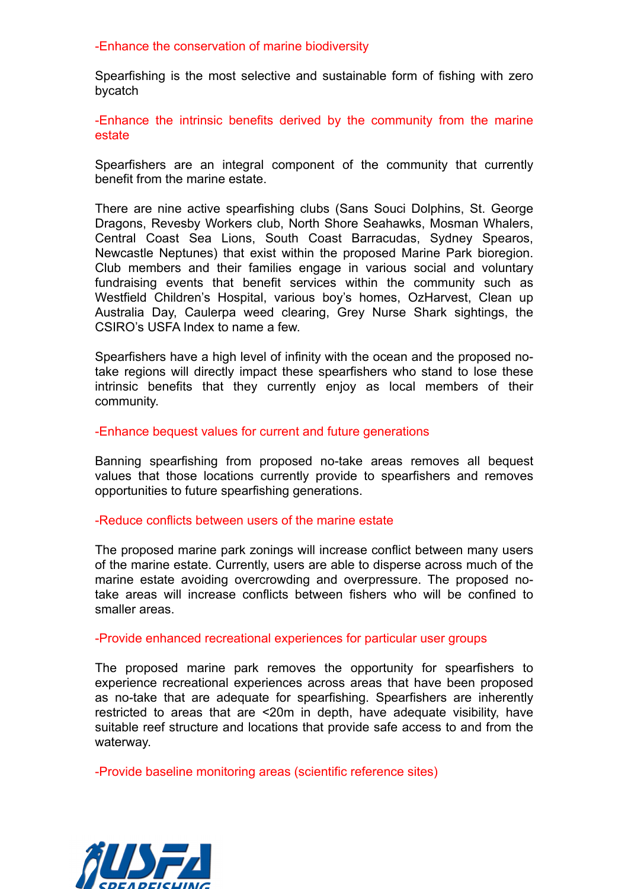-Enhance the conservation of marine biodiversity

Spearfishing is the most selective and sustainable form of fishing with zero bycatch

-Enhance the intrinsic benefits derived by the community from the marine estate

Spearfishers are an integral component of the community that currently benefit from the marine estate.

There are nine active spearfishing clubs (Sans Souci Dolphins, St. George Dragons, Revesby Workers club, North Shore Seahawks, Mosman Whalers, Central Coast Sea Lions, South Coast Barracudas, Sydney Spearos, Newcastle Neptunes) that exist within the proposed Marine Park bioregion. Club members and their families engage in various social and voluntary fundraising events that benefit services within the community such as Westfield Children's Hospital, various boy's homes, OzHarvest, Clean up Australia Day, Caulerpa weed clearing, Grey Nurse Shark sightings, the CSIRO's USFA Index to name a few.

Spearfishers have a high level of infinity with the ocean and the proposed notake regions will directly impact these spearfishers who stand to lose these intrinsic benefits that they currently enjoy as local members of their community.

-Enhance bequest values for current and future generations

Banning spearfishing from proposed no-take areas removes all bequest values that those locations currently provide to spearfishers and removes opportunities to future spearfishing generations.

#### -Reduce conflicts between users of the marine estate

The proposed marine park zonings will increase conflict between many users of the marine estate. Currently, users are able to disperse across much of the marine estate avoiding overcrowding and overpressure. The proposed notake areas will increase conflicts between fishers who will be confined to smaller areas.

-Provide enhanced recreational experiences for particular user groups

The proposed marine park removes the opportunity for spearfishers to experience recreational experiences across areas that have been proposed as no-take that are adequate for spearfishing. Spearfishers are inherently restricted to areas that are <20m in depth, have adequate visibility, have suitable reef structure and locations that provide safe access to and from the waterway.

-Provide baseline monitoring areas (scientific reference sites)